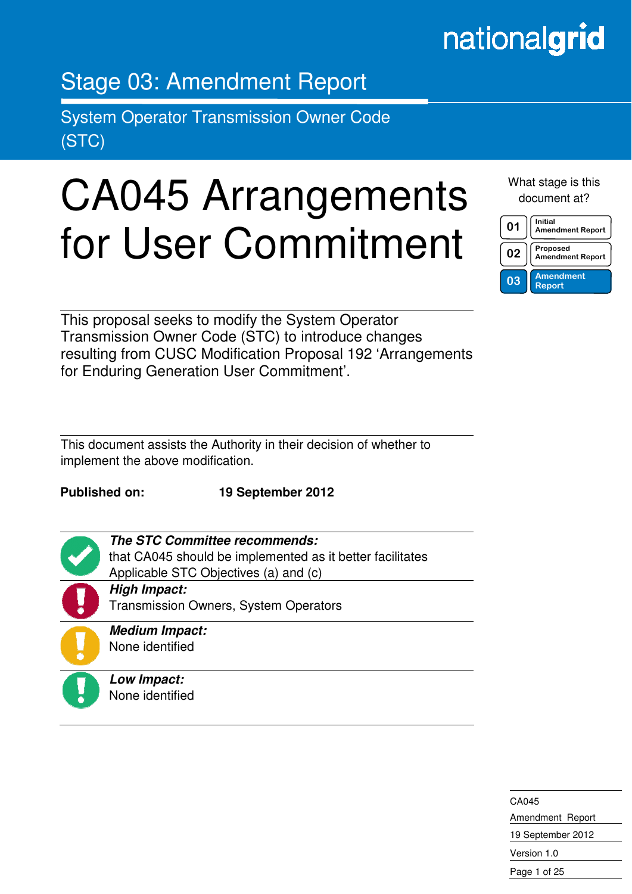## nationalgrid

### Stage 03: Amendment Report

System Operator Transmission Owner Code (STC)

# CA045 Arrangements for User Commitment

What stage is this document at?

| በ1  | Initial<br><b>Amendment Report</b> |
|-----|------------------------------------|
| 02  | Proposed<br>Amendment Report       |
| 0.3 | <b>Amendment</b><br><b>Report</b>  |

This proposal seeks to modify the System Operator Transmission Owner Code (STC) to introduce changes resulting from CUSC Modification Proposal 192 'Arrangements for Enduring Generation User Commitment'.

This document assists the Authority in their decision of whether to implement the above modification.

**The STC Committee recommends:** 

Applicable STC Objectives (a) and (c)

**Published on: 19 September 2012** 

that CA045 should be implemented as it better facilitates



in the contract of the contract of the contract of the contract of the contract of the contract of the contract of the contract of the contract of the contract of the contract of the contract of the contract of the contrac

Transmission Owners, System Operators **Medium Impact:**  None identified

**Low Impact:**  None identified

**High Impact:** 

CA045 Amendment Report 19 September 2012 Version 1.0

Page 1 of 25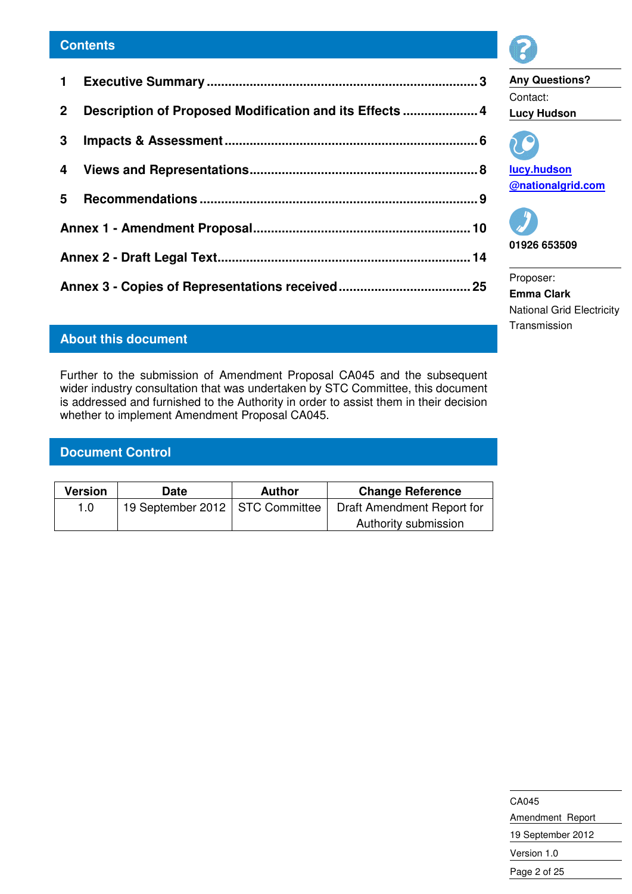| 2 Description of Proposed Modification and its Effects  4 |  |
|-----------------------------------------------------------|--|
|                                                           |  |
|                                                           |  |
|                                                           |  |
|                                                           |  |
|                                                           |  |
|                                                           |  |
|                                                           |  |

#### **About this document**

Further to the submission of Amendment Proposal CA045 and the subsequent wider industry consultation that was undertaken by STC Committee, this document is addressed and furnished to the Authority in order to assist them in their decision whether to implement Amendment Proposal CA045.

#### **Document Control**

| Version | Date                              | <b>Author</b> | <b>Change Reference</b>    |
|---------|-----------------------------------|---------------|----------------------------|
| 1. $0$  | 19 September 2012   STC Committee |               | Draft Amendment Report for |
|         |                                   |               | Authority submission       |



**Any Questions?**  Contact: **Lucy Hudson** 



**lucy.hudson @nationalgrid.com** 



Proposer: **Emma Clark**  National Grid Electricity

Transmission

CA045 Amendment Report 19 September 2012 Version 1.0 Page 2 of 25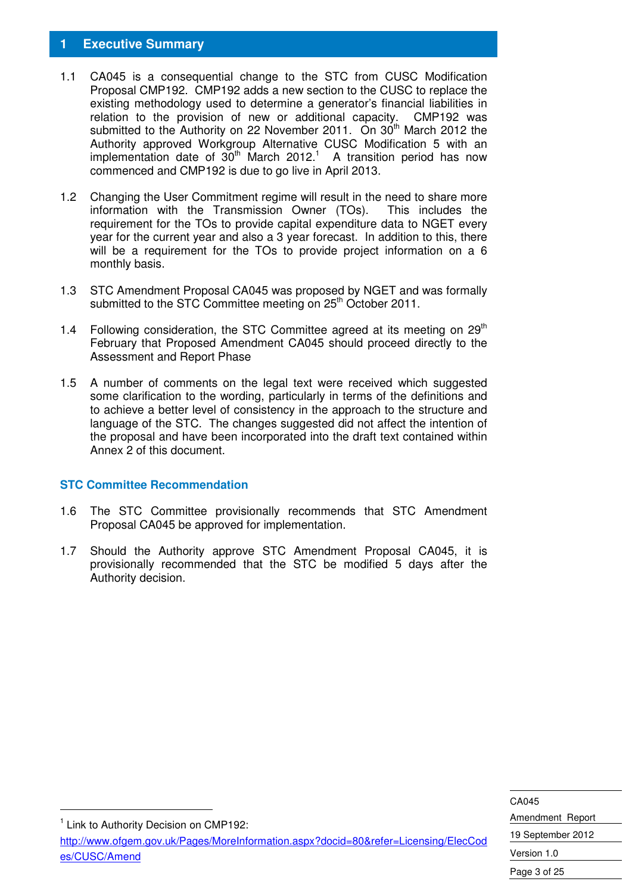#### **1 Executive Summary**

- 1.1 CA045 is a consequential change to the STC from CUSC Modification Proposal CMP192. CMP192 adds a new section to the CUSC to replace the existing methodology used to determine a generator's financial liabilities in relation to the provision of new or additional capacity. CMP192 was submitted to the Authority on 22 November 2011. On 30<sup>th</sup> March 2012 the Authority approved Workgroup Alternative CUSC Modification 5 with an implementation date of  $30<sup>th</sup>$  March 2012.<sup>1</sup> A transition period has now commenced and CMP192 is due to go live in April 2013.
- 1.2 Changing the User Commitment regime will result in the need to share more information with the Transmission Owner (TOs). This includes the requirement for the TOs to provide capital expenditure data to NGET every year for the current year and also a 3 year forecast. In addition to this, there will be a requirement for the TOs to provide project information on a 6 monthly basis.
- 1.3 STC Amendment Proposal CA045 was proposed by NGET and was formally submitted to the STC Committee meeting on 25<sup>th</sup> October 2011.
- 1.4 Following consideration, the STC Committee agreed at its meeting on  $29<sup>th</sup>$ February that Proposed Amendment CA045 should proceed directly to the Assessment and Report Phase
- 1.5 A number of comments on the legal text were received which suggested some clarification to the wording, particularly in terms of the definitions and to achieve a better level of consistency in the approach to the structure and language of the STC. The changes suggested did not affect the intention of the proposal and have been incorporated into the draft text contained within Annex 2 of this document.

#### **STC Committee Recommendation**

- 1.6 The STC Committee provisionally recommends that STC Amendment Proposal CA045 be approved for implementation.
- 1.7 Should the Authority approve STC Amendment Proposal CA045, it is provisionally recommended that the STC be modified 5 days after the Authority decision.

<sup>1</sup> Link to Authority Decision on CMP192:

-

http://www.ofgem.gov.uk/Pages/MoreInformation.aspx?docid=80&refer=Licensing/ElecCod es/CUSC/Amend

CA045 Amendment Report 19 September 2012 Version 1.0 Page 3 of 25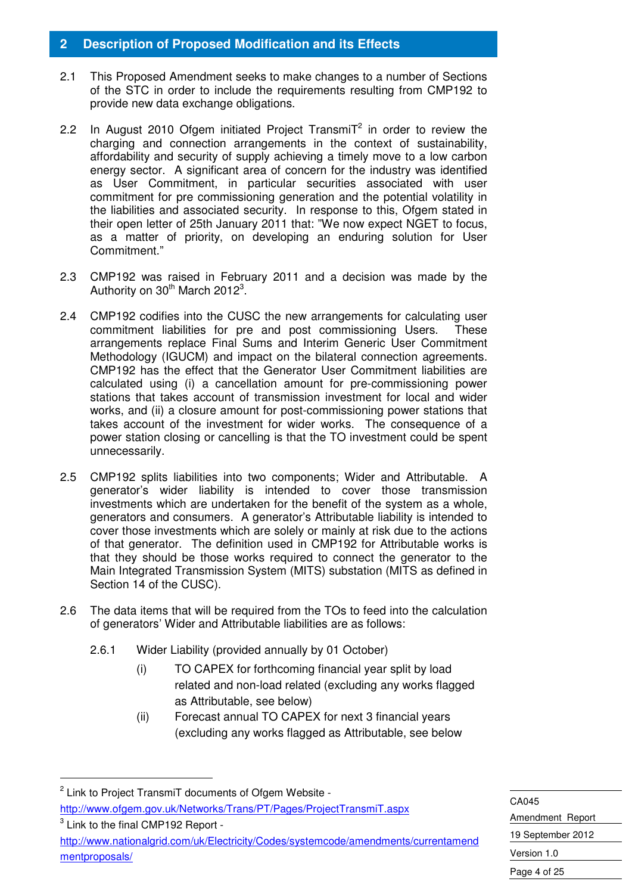#### **2 Description of Proposed Modification and its Effects**

- 2.1 This Proposed Amendment seeks to make changes to a number of Sections of the STC in order to include the requirements resulting from CMP192 to provide new data exchange obligations.
- 2.2 In August 2010 Ofgem initiated Project Transmi $T^2$  in order to review the charging and connection arrangements in the context of sustainability, affordability and security of supply achieving a timely move to a low carbon energy sector. A significant area of concern for the industry was identified as User Commitment, in particular securities associated with user commitment for pre commissioning generation and the potential volatility in the liabilities and associated security. In response to this, Ofgem stated in their open letter of 25th January 2011 that: "We now expect NGET to focus, as a matter of priority, on developing an enduring solution for User Commitment."
- 2.3 CMP192 was raised in February 2011 and a decision was made by the Authority on  $30<sup>th</sup>$  March 2012<sup>3</sup>.
- 2.4 CMP192 codifies into the CUSC the new arrangements for calculating user commitment liabilities for pre and post commissioning Users. These arrangements replace Final Sums and Interim Generic User Commitment Methodology (IGUCM) and impact on the bilateral connection agreements. CMP192 has the effect that the Generator User Commitment liabilities are calculated using (i) a cancellation amount for pre-commissioning power stations that takes account of transmission investment for local and wider works, and (ii) a closure amount for post-commissioning power stations that takes account of the investment for wider works. The consequence of a power station closing or cancelling is that the TO investment could be spent unnecessarily.
- 2.5 CMP192 splits liabilities into two components; Wider and Attributable. A generator's wider liability is intended to cover those transmission investments which are undertaken for the benefit of the system as a whole, generators and consumers. A generator's Attributable liability is intended to cover those investments which are solely or mainly at risk due to the actions of that generator. The definition used in CMP192 for Attributable works is that they should be those works required to connect the generator to the Main Integrated Transmission System (MITS) substation (MITS as defined in Section 14 of the CUSC).
- 2.6 The data items that will be required from the TOs to feed into the calculation of generators' Wider and Attributable liabilities are as follows:
	- 2.6.1 Wider Liability (provided annually by 01 October)
		- (i) TO CAPEX for forthcoming financial year split by load related and non-load related (excluding any works flagged as Attributable, see below)
		- (ii) Forecast annual TO CAPEX for next 3 financial years (excluding any works flagged as Attributable, see below

-

 $3$  Link to the final CMP192 Report http://www.nationalgrid.com/uk/Electricity/Codes/systemcode/amendments/currentamend mentproposals/

CA045 Amendment Report 19 September 2012 Version 1.0 Page 4 of 25

<sup>&</sup>lt;sup>2</sup> Link to Project TransmiT documents of Ofgem Website http://www.ofgem.gov.uk/Networks/Trans/PT/Pages/ProjectTransmiT.aspx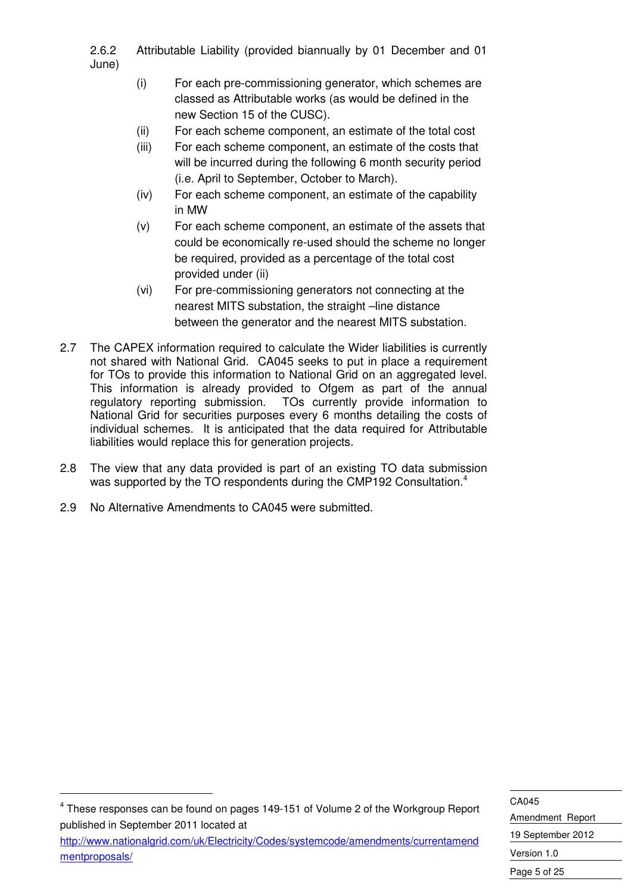2.6.2 Attributable Liability (provided biannually by 01 December and 01 June)

- (i) For each pre-commissioning generator, which schemes are classed as Attributable works (as would be defined in the new Section 15 of the CUSC).
- (ii) For each scheme component, an estimate of the total cost
- (iii) For each scheme component, an estimate of the costs that will be incurred during the following 6 month security period (i.e. April to September, October to March).
- (iv) For each scheme component, an estimate of the capability in MW
- (v) For each scheme component, an estimate of the assets that could be economically re-used should the scheme no longer be required, provided as a percentage of the total cost provided under (ii)
- (vi) For pre-commissioning generators not connecting at the nearest MITS substation, the straight –line distance between the generator and the nearest MITS substation.
- 2.7 The CAPEX information required to calculate the Wider liabilities is currently not shared with National Grid. CA045 seeks to put in place a requirement for TOs to provide this information to National Grid on an aggregated level. This information is already provided to Ofgem as part of the annual regulatory reporting submission. TOs currently provide information to National Grid for securities purposes every 6 months detailing the costs of individual schemes. It is anticipated that the data required for Attributable liabilities would replace this for generation projects.
- 2.8 The view that any data provided is part of an existing TO data submission was supported by the TO respondents during the CMP192 Consultation.<sup>4</sup>
- 2.9 No Alternative Amendments to CA045 were submitted.

-

mentproposals/

CA045 Amendment Report 19 September 2012 Version 1.0 Page 5 of 25  $4$  These responses can be found on pages 149-151 of Volume 2 of the Workgroup Report published in September 2011 located at http://www.nationalgrid.com/uk/Electricity/Codes/systemcode/amendments/currentamend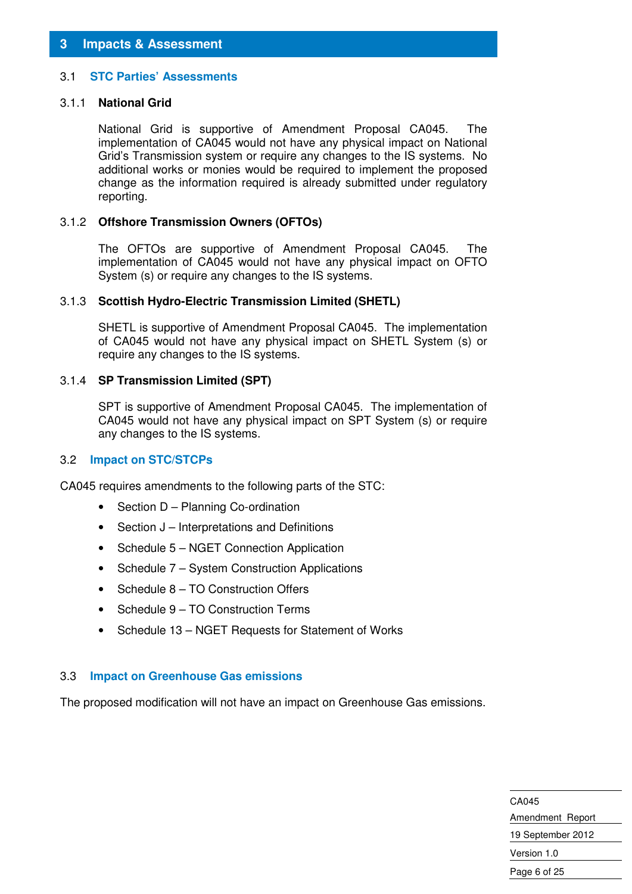#### 3.1 **STC Parties' Assessments**

#### 3.1.1 **National Grid**

National Grid is supportive of Amendment Proposal CA045. The implementation of CA045 would not have any physical impact on National Grid's Transmission system or require any changes to the IS systems. No additional works or monies would be required to implement the proposed change as the information required is already submitted under regulatory reporting.

#### 3.1.2 **Offshore Transmission Owners (OFTOs)**

The OFTOs are supportive of Amendment Proposal CA045. The implementation of CA045 would not have any physical impact on OFTO System (s) or require any changes to the IS systems.

#### 3.1.3 **Scottish Hydro-Electric Transmission Limited (SHETL)**

SHETL is supportive of Amendment Proposal CA045. The implementation of CA045 would not have any physical impact on SHETL System (s) or require any changes to the IS systems.

#### 3.1.4 **SP Transmission Limited (SPT)**

SPT is supportive of Amendment Proposal CA045. The implementation of CA045 would not have any physical impact on SPT System (s) or require any changes to the IS systems.

#### 3.2 **Impact on STC/STCPs**

CA045 requires amendments to the following parts of the STC:

- Section D Planning Co-ordination
- Section J Interpretations and Definitions
- Schedule 5 NGET Connection Application
- Schedule 7 System Construction Applications
- Schedule 8 TO Construction Offers
- Schedule 9 TO Construction Terms
- Schedule 13 NGET Requests for Statement of Works

#### 3.3 **Impact on Greenhouse Gas emissions**

The proposed modification will not have an impact on Greenhouse Gas emissions.

CA045 Amendment Report 19 September 2012 Version 1.0 Page 6 of 25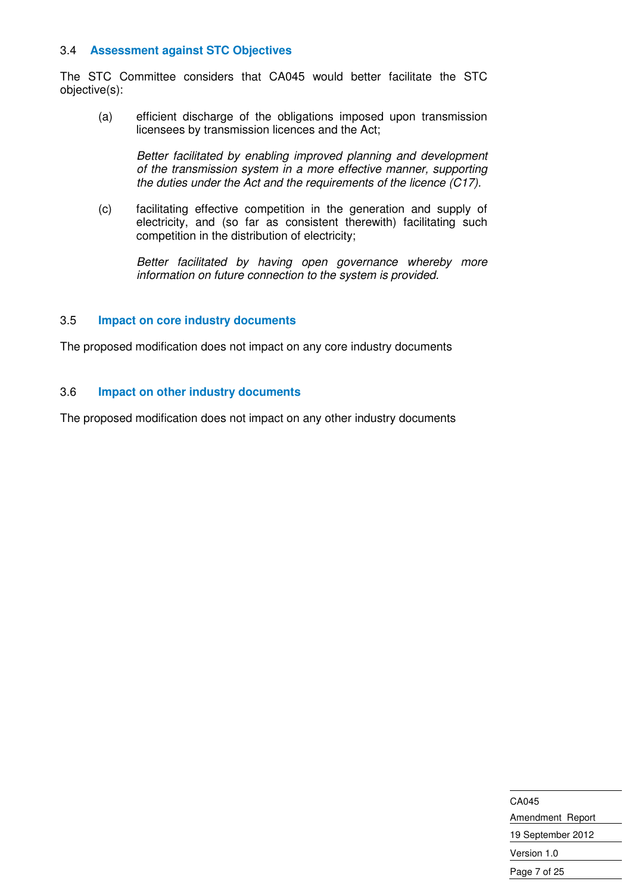#### 3.4 **Assessment against STC Objectives**

The STC Committee considers that CA045 would better facilitate the STC objective(s):

(a) efficient discharge of the obligations imposed upon transmission licensees by transmission licences and the Act;

Better facilitated by enabling improved planning and development of the transmission system in a more effective manner, supporting the duties under the Act and the requirements of the licence  $(C17)$ .

(c) facilitating effective competition in the generation and supply of electricity, and (so far as consistent therewith) facilitating such competition in the distribution of electricity;

Better facilitated by having open governance whereby more information on future connection to the system is provided.

#### 3.5 **Impact on core industry documents**

The proposed modification does not impact on any core industry documents

#### 3.6 **Impact on other industry documents**

The proposed modification does not impact on any other industry documents

CA045 Amendment Report 19 September 2012 Version 1.0 Page 7 of 25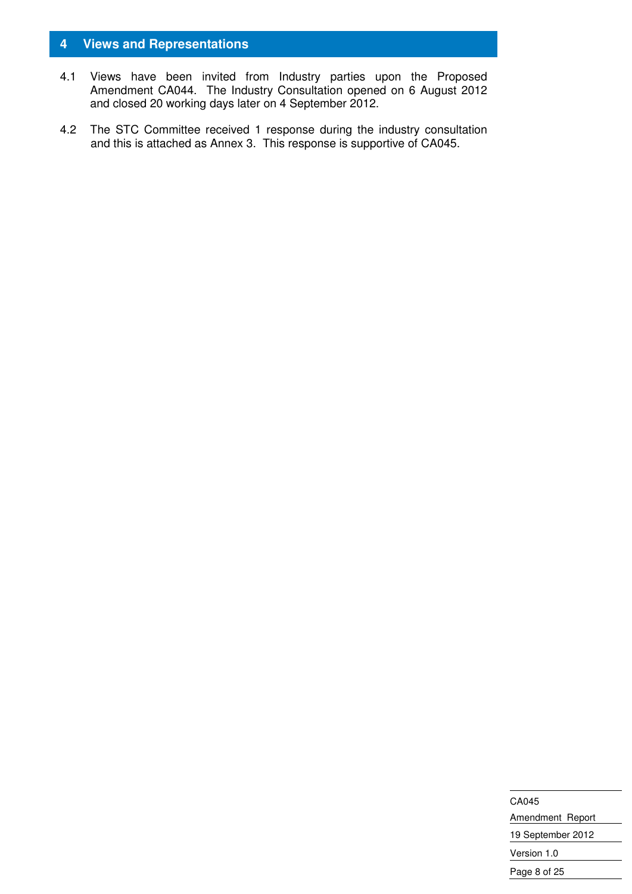#### **4 Views and Representations**

- 4.1 Views have been invited from Industry parties upon the Proposed Amendment CA044. The Industry Consultation opened on 6 August 2012 and closed 20 working days later on 4 September 2012.
- 4.2 The STC Committee received 1 response during the industry consultation and this is attached as Annex 3. This response is supportive of CA045.

CA045 Amendment Report 19 September 2012 Version 1.0 Page 8 of 25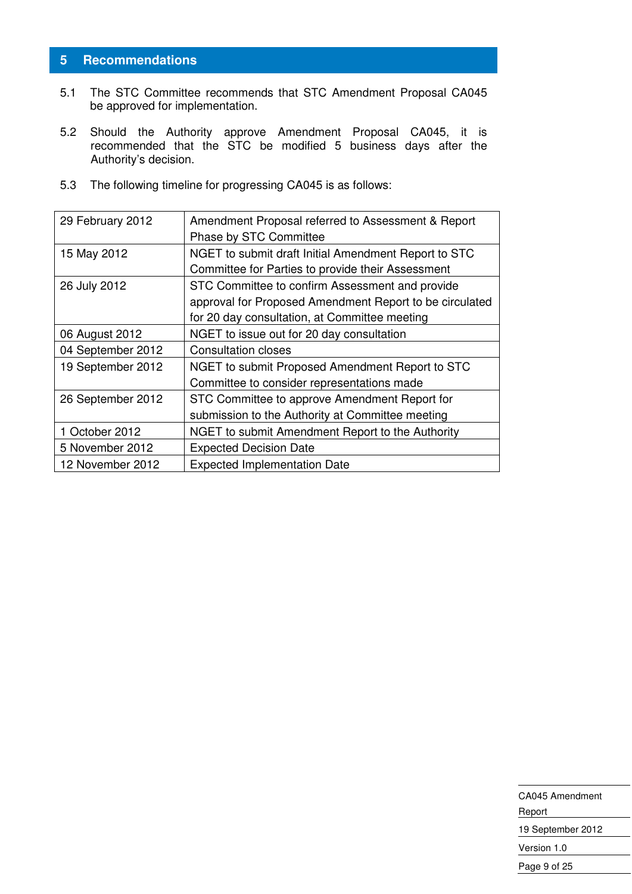#### **5 Recommendations**

- 5.1 The STC Committee recommends that STC Amendment Proposal CA045 be approved for implementation.
- 5.2 Should the Authority approve Amendment Proposal CA045, it is recommended that the STC be modified 5 business days after the Authority's decision.
- 5.3 The following timeline for progressing CA045 is as follows:

| 29 February 2012  | Amendment Proposal referred to Assessment & Report      |
|-------------------|---------------------------------------------------------|
|                   | Phase by STC Committee                                  |
| 15 May 2012       | NGET to submit draft Initial Amendment Report to STC    |
|                   | Committee for Parties to provide their Assessment       |
| 26 July 2012      | STC Committee to confirm Assessment and provide         |
|                   | approval for Proposed Amendment Report to be circulated |
|                   | for 20 day consultation, at Committee meeting           |
| 06 August 2012    | NGET to issue out for 20 day consultation               |
| 04 September 2012 | <b>Consultation closes</b>                              |
| 19 September 2012 | NGET to submit Proposed Amendment Report to STC         |
|                   | Committee to consider representations made              |
| 26 September 2012 | STC Committee to approve Amendment Report for           |
|                   | submission to the Authority at Committee meeting        |
| 1 October 2012    | NGET to submit Amendment Report to the Authority        |
| 5 November 2012   | <b>Expected Decision Date</b>                           |
| 12 November 2012  | <b>Expected Implementation Date</b>                     |

| CA045 Amendment   |  |
|-------------------|--|
| Report            |  |
| 19 September 2012 |  |
| Version 1.0       |  |
| Page 9 of 25      |  |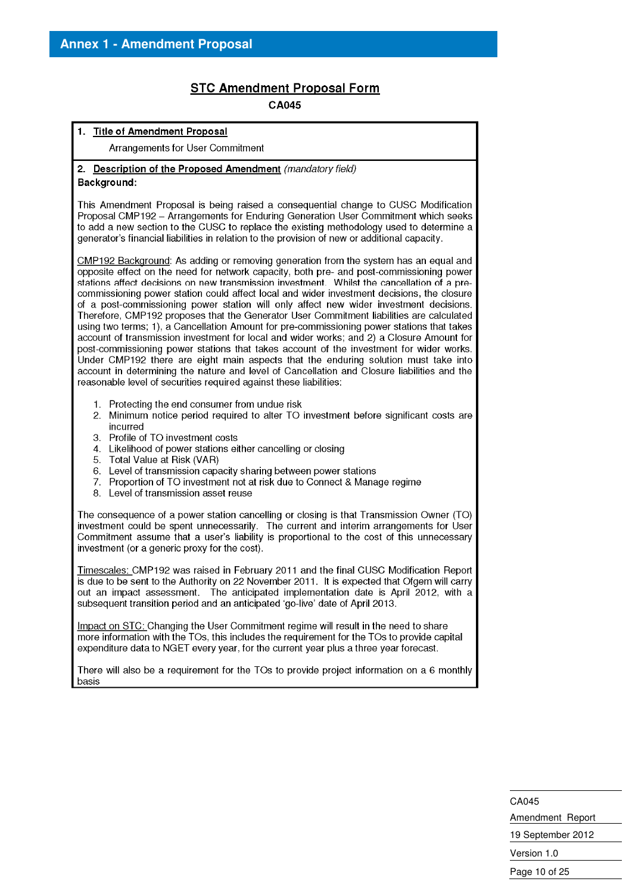#### **STC Amendment Proposal Form**

CA045

#### 1. Title of Amendment Proposal Arrangements for User Commitment 2. Description of the Proposed Amendment (mandatory field) Background: This Amendment Proposal is being raised a consequential change to CUSC Modification Proposal CMP192 - Arrangements for Enduring Generation User Commitment which seeks to add a new section to the CUSC to replace the existing methodology used to determine a generator's financial liabilities in relation to the provision of new or additional capacity. CMP192 Background: As adding or removing generation from the system has an equal and opposite effect on the need for network capacity, both pre- and post-commissioning power stations affect decisions on new transmission investment. Whilst the cancellation of a precommissioning power station could affect local and wider investment decisions, the closure of a post-commissioning power station will only affect new wider investment decisions. Therefore, CMP192 proposes that the Generator User Commitment liabilities are calculated using two terms; 1), a Cancellation Amount for pre-commissioning power stations that takes account of transmission investment for local and wider works: and 2) a Closure Amount for post-commissioning power stations that takes account of the investment for wider works. Under CMP192 there are eight main aspects that the enduring solution must take into account in determining the nature and level of Cancellation and Closure liabilities and the reasonable level of securities required against these liabilities: 1. Protecting the end consumer from undue risk 2. Minimum notice period required to alter TO investment before significant costs are incurred 3. Profile of TO investment costs 4. Likelihood of power stations either cancelling or closing 5. Total Value at Risk (VAR) Level of transmission capacity sharing between power stations 6. 7. Proportion of TO investment not at risk due to Connect & Manage regime 8. Level of transmission asset reuse The consequence of a power station cancelling or closing is that Transmission Owner (TO) investment could be spent unnecessarily. The current and interim arrangements for User Commitment assume that a user's liability is proportional to the cost of this unnecessary investment (or a generic proxy for the cost). Timescales: CMP192 was raised in February 2011 and the final CUSC Modification Report is due to be sent to the Authority on 22 November 2011. It is expected that Ofgem will carry out an impact assessment. The anticipated implementation date is April 2012, with a subsequent transition period and an anticipated 'go-live' date of April 2013. Impact on STC; Changing the User Commitment regime will result in the need to share more information with the TOs, this includes the requirement for the TOs to provide capital expenditure data to NGET every year, for the current year plus a three year forecast. There will also be a requirement for the TOs to provide project information on a 6 monthly basis

CA045 Amendment Report 19 September 2012 Version 1.0 Page 10 of 25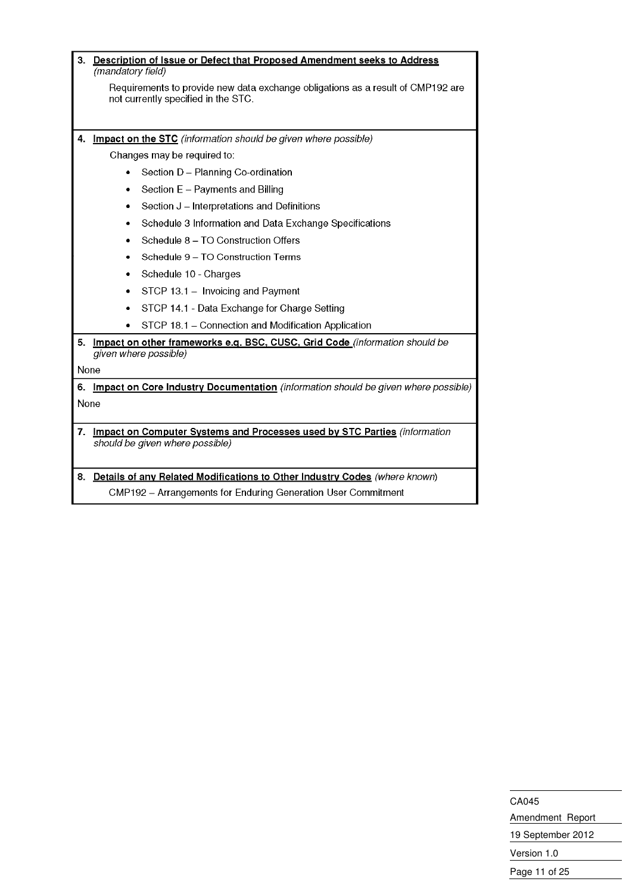| 3. | Description of Issue or Defect that Proposed Amendment seeks to Address<br>(mandatory field)                                                   |                                                                                |  |
|----|------------------------------------------------------------------------------------------------------------------------------------------------|--------------------------------------------------------------------------------|--|
|    | Requirements to provide new data exchange obligations as a result of CMP192 are<br>not currently specified in the STC.                         |                                                                                |  |
|    |                                                                                                                                                |                                                                                |  |
| 4. |                                                                                                                                                | Impact on the STC (information should be given where possible)                 |  |
|    |                                                                                                                                                | Changes may be required to:                                                    |  |
|    | $\bullet$                                                                                                                                      | Section D - Planning Co-ordination                                             |  |
|    | ٠                                                                                                                                              | Section E - Payments and Billing                                               |  |
|    | ٠                                                                                                                                              | Section J - Interpretations and Definitions                                    |  |
|    | ٠                                                                                                                                              | Schedule 3 Information and Data Exchange Specifications                        |  |
|    |                                                                                                                                                | Schedule 8 - TO Construction Offers                                            |  |
|    |                                                                                                                                                | Schedule 9 - TO Construction Terms                                             |  |
|    | ٠                                                                                                                                              | Schedule 10 - Charges                                                          |  |
|    | ٠                                                                                                                                              | STCP 13.1 - Invoicing and Payment                                              |  |
|    | ٠                                                                                                                                              | STCP 14.1 - Data Exchange for Charge Setting                                   |  |
|    |                                                                                                                                                | STCP 18.1 - Connection and Modification Application                            |  |
|    |                                                                                                                                                | 5. Impact on other frameworks e.g. BSC, CUSC, Grid Code (information should be |  |
|    |                                                                                                                                                | given where possible)                                                          |  |
|    | None                                                                                                                                           |                                                                                |  |
|    | Impact on Core Industry Documentation (information should be given where possible)<br>6.                                                       |                                                                                |  |
|    | None                                                                                                                                           |                                                                                |  |
| 7. | <b>Impact on Computer Systems and Processes used by STC Parties (information</b><br>should be given where possible)                            |                                                                                |  |
|    |                                                                                                                                                |                                                                                |  |
|    |                                                                                                                                                |                                                                                |  |
|    | 8. Details of any Related Modifications to Other Industry Codes (where known)<br>CMP192 - Arrangements for Enduring Generation User Commitment |                                                                                |  |

CA045 Amendment Report 19 September 2012 Version 1.0 Page 11 of 25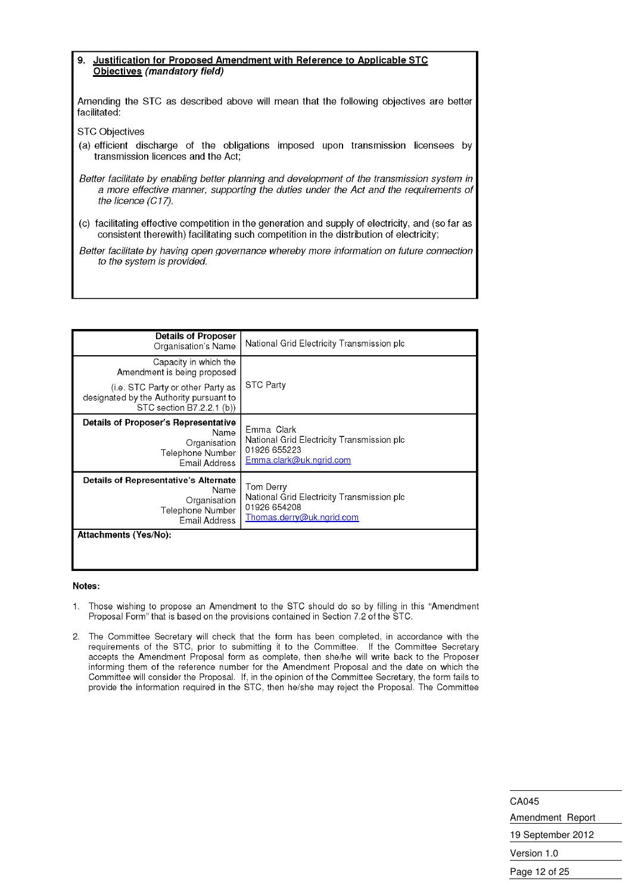#### Justification for Proposed Amendment with Reference to Applicable STC 9. Objectives (mandatory field)

Amending the STC as described above will mean that the following objectives are better facilitated:

**STC Objectives** 

(a) efficient discharge of the obligations imposed upon transmission licensees by transmission licences and the Act;

Better facilitate by enabling better planning and development of the transmission system in a more effective manner, supporting the duties under the Act and the requirements of the licence (C17).

(c) facilitating effective competition in the generation and supply of electricity, and (so far as consistent therewith) facilitating such competition in the distribution of electricity;

Better facilitate by having open governance whereby more information on future connection to the system is provided.

| <b>Details of Proposer</b><br>Organisation's Name                                                               | National Grid Electricity Transmission plc                                                           |
|-----------------------------------------------------------------------------------------------------------------|------------------------------------------------------------------------------------------------------|
| Capacity in which the<br>Amendment is being proposed                                                            |                                                                                                      |
| (i.e. STC Party or other Party as<br>designated by the Authority pursuant to<br>STC section B7.2.2.1 (b))       | <b>STC Party</b>                                                                                     |
| <b>Details of Proposer's Representative</b><br>Name<br>Organisation<br>Telephone Number<br><b>Email Address</b> | Emma Clark<br>National Grid Electricity Transmission plc<br>01926 655223<br>Emma.clark@uk.ngrid.com  |
| Details of Representative's Alternate<br>Name<br>Organisation<br>Telephone Number<br>Email Address              | Tom Derry<br>National Grid Electricity Transmission plc<br>01926 654208<br>Thomas.derry@uk.ngrid.com |
| Attachments (Yes/No):                                                                                           |                                                                                                      |

#### Notes:

- Those wishing to propose an Amendment to the STC should do so by filling in this "Amendment  $\mathbf{1}$ Proposal Form" that is based on the provisions contained in Section 7.2 of the STC.
- 2. The Committee Secretary will check that the form has been completed, in accordance with the requirements of the STC, prior to submitting it to the Committee. If the Committee Secretary accepts the Amendment Proposal form as complete, then she/he will write back to the Proposer informing them of the reference number for the Amendment Proposal and the date on which the Committee will consider the Proposal. If, in the opinion of the Committee Secretary, the form fails to provide the information required in the STC, then he/she may reject the Proposal. The Committee

CA045 Amendment Report 19 September 2012 Version 1.0 Page 12 of 25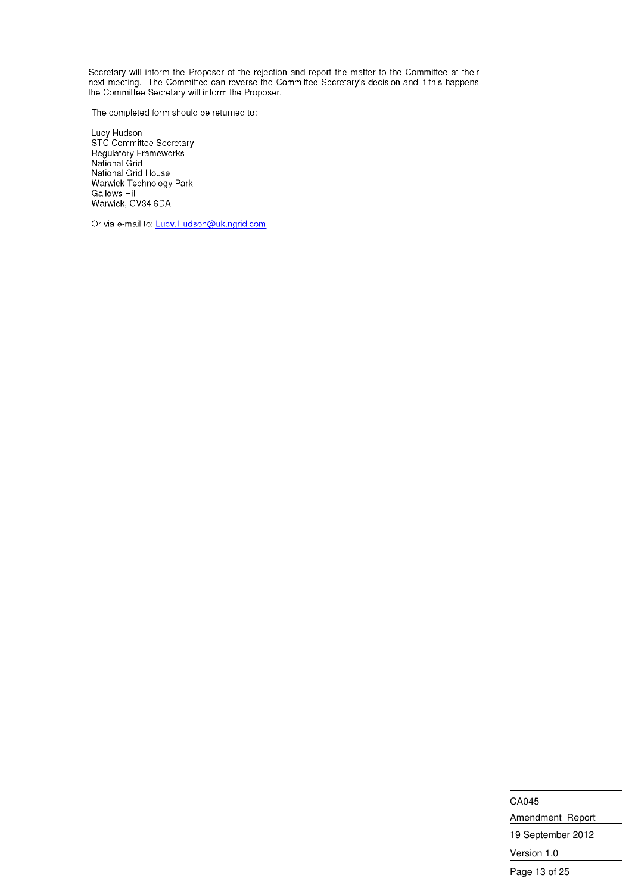Secretary will inform the Proposer of the rejection and report the matter to the Committee at their next meeting. The Committee can reverse the Committee Secretary's decision and if this happens<br>the Committee Secretary will inform the Proposer.

The completed form should be returned to:

Lucy Hudson<br>STC Committee Secretary<br>Regulatory Frameworks<br>National Grid National Grid House Warwick Technology Park **Gallows Hill** Warwick, CV34 6DA

Or via e-mail to: Lucy.Hudson@uk.ngrid.com

CA045 Amendment Report 19 September 2012 Version 1.0 Page 13 of 25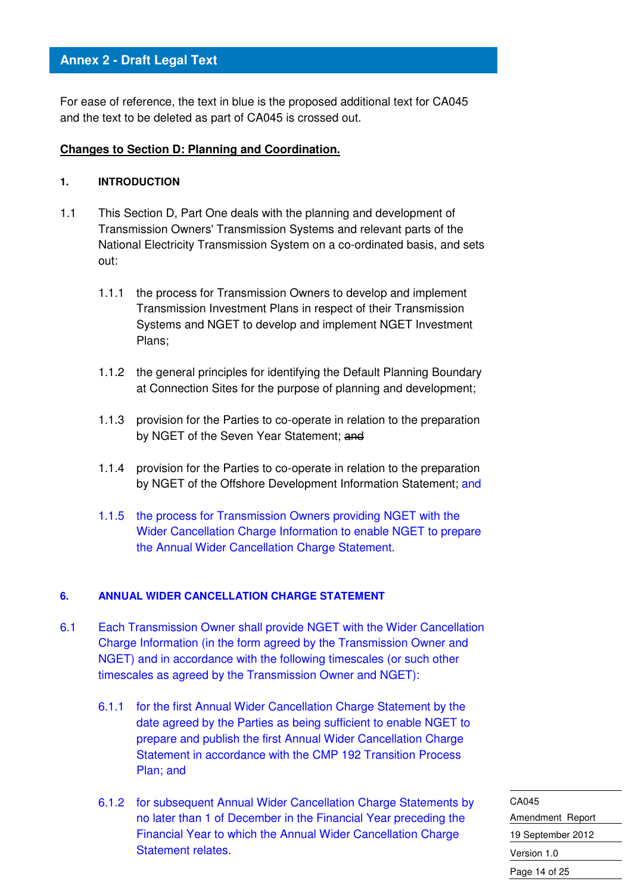For ease of reference, the text in blue is the proposed additional text for CA045 and the text to be deleted as part of CA045 is crossed out.

#### **Changes to Section D: Planning and Coordination.**

#### **1. INTRODUCTION**

- 1.1 This Section D, Part One deals with the planning and development of Transmission Owners' Transmission Systems and relevant parts of the National Electricity Transmission System on a co-ordinated basis, and sets out:
	- 1.1.1 the process for Transmission Owners to develop and implement Transmission Investment Plans in respect of their Transmission Systems and NGET to develop and implement NGET Investment Plans;
	- 1.1.2 the general principles for identifying the Default Planning Boundary at Connection Sites for the purpose of planning and development;
	- 1.1.3 provision for the Parties to co-operate in relation to the preparation by NGET of the Seven Year Statement; and
	- 1.1.4 provision for the Parties to co-operate in relation to the preparation by NGET of the Offshore Development Information Statement; and
	- 1.1.5 the process for Transmission Owners providing NGET with the Wider Cancellation Charge Information to enable NGET to prepare the Annual Wider Cancellation Charge Statement.

#### **6. ANNUAL WIDER CANCELLATION CHARGE STATEMENT**

- 6.1 Each Transmission Owner shall provide NGET with the Wider Cancellation Charge Information (in the form agreed by the Transmission Owner and NGET) and in accordance with the following timescales (or such other timescales as agreed by the Transmission Owner and NGET):
	- 6.1.1 for the first Annual Wider Cancellation Charge Statement by the date agreed by the Parties as being sufficient to enable NGET to prepare and publish the first Annual Wider Cancellation Charge Statement in accordance with the CMP 192 Transition Process Plan; and
	- 6.1.2 for subsequent Annual Wider Cancellation Charge Statements by no later than 1 of December in the Financial Year preceding the Financial Year to which the Annual Wider Cancellation Charge Statement relates.

CA045 Amendment Report 19 September 2012 Version 1.0 Page 14 of 25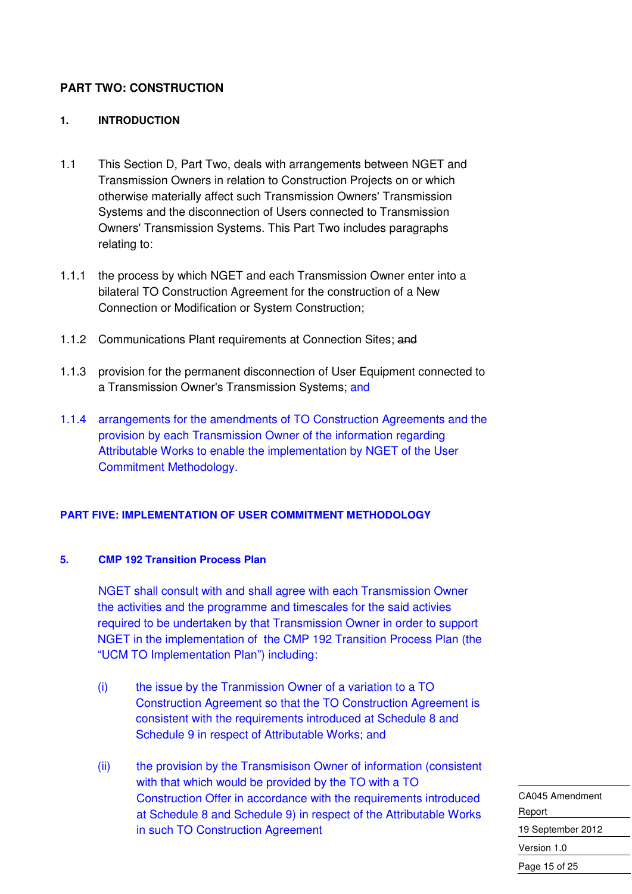#### **PART TWO: CONSTRUCTION**

#### **1. INTRODUCTION**

- 1.1 This Section D, Part Two, deals with arrangements between NGET and Transmission Owners in relation to Construction Projects on or which otherwise materially affect such Transmission Owners' Transmission Systems and the disconnection of Users connected to Transmission Owners' Transmission Systems. This Part Two includes paragraphs relating to:
- 1.1.1 the process by which NGET and each Transmission Owner enter into a bilateral TO Construction Agreement for the construction of a New Connection or Modification or System Construction;
- 1.1.2 Communications Plant requirements at Connection Sites; and
- 1.1.3 provision for the permanent disconnection of User Equipment connected to a Transmission Owner's Transmission Systems; and
- 1.1.4 arrangements for the amendments of TO Construction Agreements and the provision by each Transmission Owner of the information regarding Attributable Works to enable the implementation by NGET of the User Commitment Methodology.

#### **PART FIVE: IMPLEMENTATION OF USER COMMITMENT METHODOLOGY**

#### **5. CMP 192 Transition Process Plan**

NGET shall consult with and shall agree with each Transmission Owner the activities and the programme and timescales for the said activies required to be undertaken by that Transmission Owner in order to support NGET in the implementation of the CMP 192 Transition Process Plan (the "UCM TO Implementation Plan") including:

- (i) the issue by the Tranmission Owner of a variation to a TO Construction Agreement so that the TO Construction Agreement is consistent with the requirements introduced at Schedule 8 and Schedule 9 in respect of Attributable Works; and
- (ii) the provision by the Transmisison Owner of information (consistent with that which would be provided by the TO with a TO Construction Offer in accordance with the requirements introduced at Schedule 8 and Schedule 9) in respect of the Attributable Works in such TO Construction Agreement

CA045 Amendment Report 19 September 2012 Version 1.0 Page 15 of 25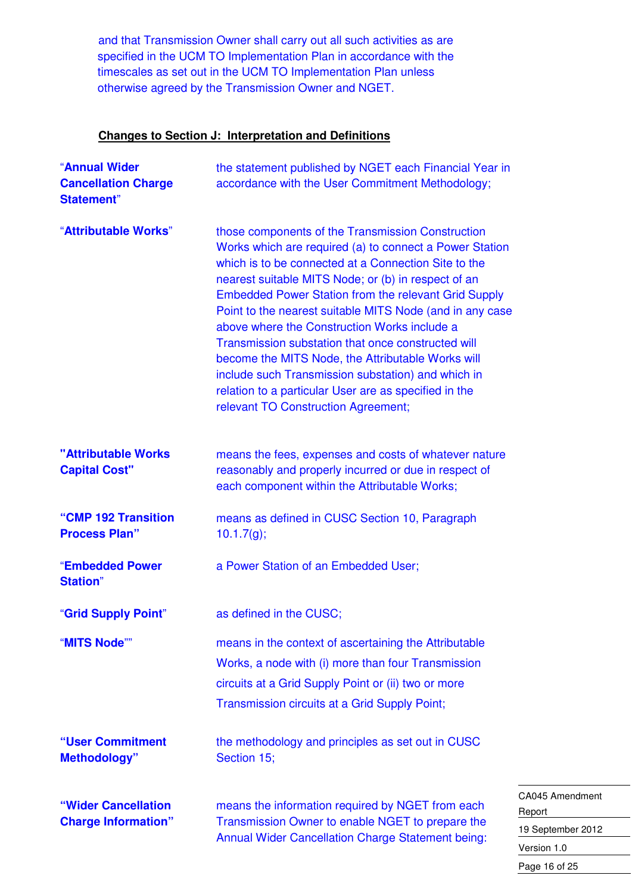and that Transmission Owner shall carry out all such activities as are specified in the UCM TO Implementation Plan in accordance with the timescales as set out in the UCM TO Implementation Plan unless otherwise agreed by the Transmission Owner and NGET.

#### **Changes to Section J: Interpretation and Definitions**

| "Annual Wider<br><b>Cancellation Charge</b><br><b>Statement</b> " | the statement published by NGET each Financial Year in<br>accordance with the User Commitment Methodology;                                                                                                                                                                                                                                                                                                                                                                                                                                                                                                                                                              |  |
|-------------------------------------------------------------------|-------------------------------------------------------------------------------------------------------------------------------------------------------------------------------------------------------------------------------------------------------------------------------------------------------------------------------------------------------------------------------------------------------------------------------------------------------------------------------------------------------------------------------------------------------------------------------------------------------------------------------------------------------------------------|--|
| "Attributable Works"                                              | those components of the Transmission Construction<br>Works which are required (a) to connect a Power Station<br>which is to be connected at a Connection Site to the<br>nearest suitable MITS Node; or (b) in respect of an<br><b>Embedded Power Station from the relevant Grid Supply</b><br>Point to the nearest suitable MITS Node (and in any case<br>above where the Construction Works include a<br>Transmission substation that once constructed will<br>become the MITS Node, the Attributable Works will<br>include such Transmission substation) and which in<br>relation to a particular User are as specified in the<br>relevant TO Construction Agreement; |  |
| "Attributable Works<br><b>Capital Cost"</b>                       | means the fees, expenses and costs of whatever nature<br>reasonably and properly incurred or due in respect of<br>each component within the Attributable Works;                                                                                                                                                                                                                                                                                                                                                                                                                                                                                                         |  |
| "CMP 192 Transition<br><b>Process Plan"</b>                       | means as defined in CUSC Section 10, Paragraph<br>10.1.7(g);                                                                                                                                                                                                                                                                                                                                                                                                                                                                                                                                                                                                            |  |
| "Embedded Power<br><b>Station</b> "                               | a Power Station of an Embedded User;                                                                                                                                                                                                                                                                                                                                                                                                                                                                                                                                                                                                                                    |  |
| "Grid Supply Point"                                               | as defined in the CUSC;                                                                                                                                                                                                                                                                                                                                                                                                                                                                                                                                                                                                                                                 |  |
| "MITS Node""                                                      | means in the context of ascertaining the Attributable<br>Works, a node with (i) more than four Transmission<br>circuits at a Grid Supply Point or (ii) two or more<br>Transmission circuits at a Grid Supply Point;                                                                                                                                                                                                                                                                                                                                                                                                                                                     |  |
| "User Commitment<br><b>Methodology</b> "                          | the methodology and principles as set out in CUSC<br>Section 15;                                                                                                                                                                                                                                                                                                                                                                                                                                                                                                                                                                                                        |  |
| "Wider Cancellation<br><b>Charge Information"</b>                 | $\mathsf{C}$<br>means the information required by NGET from each<br>$\overline{R}$<br>Transmission Owner to enable NGET to prepare the<br>19<br><b>Annual Wider Cancellation Charge Statement being:</b>                                                                                                                                                                                                                                                                                                                                                                                                                                                                |  |

A045 Amendment eport 9 September 2012 Version 1.0 Page 16 of 25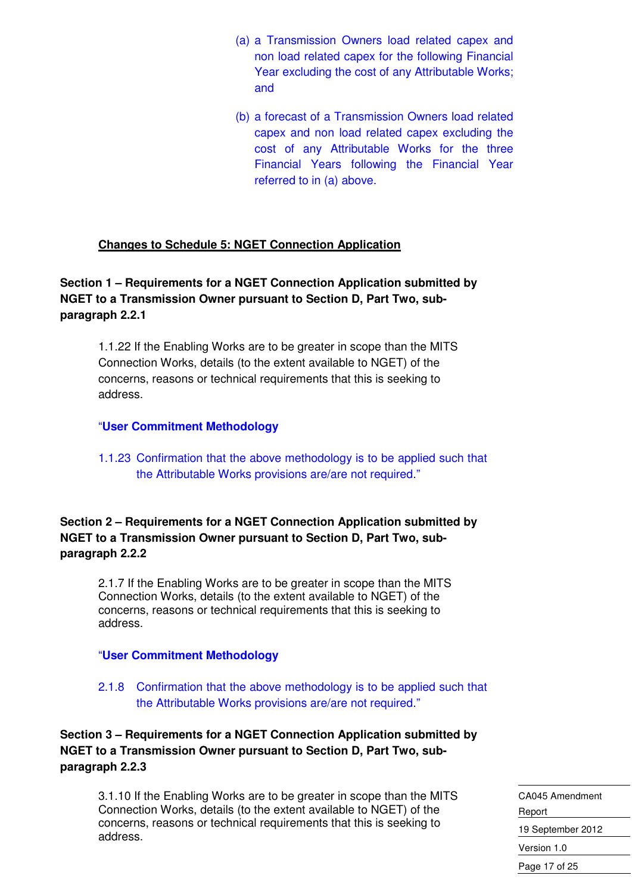- (a) a Transmission Owners load related capex and non load related capex for the following Financial Year excluding the cost of any Attributable Works; and
- (b) a forecast of a Transmission Owners load related capex and non load related capex excluding the cost of any Attributable Works for the three Financial Years following the Financial Year referred to in (a) above.

#### **Changes to Schedule 5: NGET Connection Application**

**Section 1 – Requirements for a NGET Connection Application submitted by NGET to a Transmission Owner pursuant to Section D, Part Two, subparagraph 2.2.1** 

1.1.22 If the Enabling Works are to be greater in scope than the MITS Connection Works, details (to the extent available to NGET) of the concerns, reasons or technical requirements that this is seeking to address.

#### "**User Commitment Methodology**

1.1.23 Confirmation that the above methodology is to be applied such that the Attributable Works provisions are/are not required."

#### **Section 2 – Requirements for a NGET Connection Application submitted by NGET to a Transmission Owner pursuant to Section D, Part Two, subparagraph 2.2.2**

2.1.7 If the Enabling Works are to be greater in scope than the MITS Connection Works, details (to the extent available to NGET) of the concerns, reasons or technical requirements that this is seeking to address.

#### "**User Commitment Methodology**

2.1.8 Confirmation that the above methodology is to be applied such that the Attributable Works provisions are/are not required."

**Section 3 – Requirements for a NGET Connection Application submitted by NGET to a Transmission Owner pursuant to Section D, Part Two, subparagraph 2.2.3** 

3.1.10 If the Enabling Works are to be greater in scope than the MITS Connection Works, details (to the extent available to NGET) of the concerns, reasons or technical requirements that this is seeking to address.

CA045 Amendment Report 19 September 2012 Version 1.0 Page 17 of 25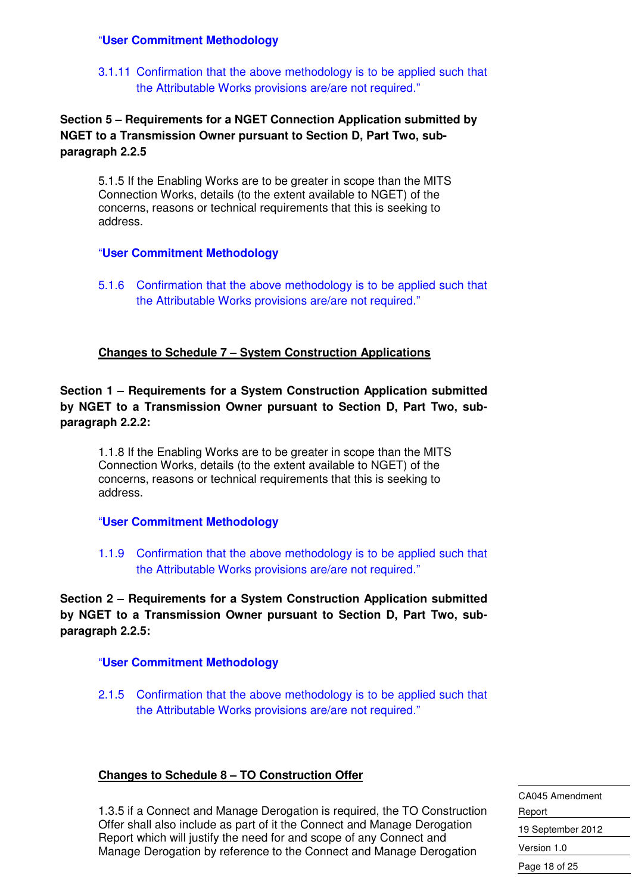#### "**User Commitment Methodology**

3.1.11 Confirmation that the above methodology is to be applied such that the Attributable Works provisions are/are not required."

#### **Section 5 – Requirements for a NGET Connection Application submitted by NGET to a Transmission Owner pursuant to Section D, Part Two, subparagraph 2.2.5**

5.1.5 If the Enabling Works are to be greater in scope than the MITS Connection Works, details (to the extent available to NGET) of the concerns, reasons or technical requirements that this is seeking to address.

#### "**User Commitment Methodology**

5.1.6 Confirmation that the above methodology is to be applied such that the Attributable Works provisions are/are not required."

#### **Changes to Schedule 7 – System Construction Applications**

**Section 1 – Requirements for a System Construction Application submitted by NGET to a Transmission Owner pursuant to Section D, Part Two, subparagraph 2.2.2:** 

1.1.8 If the Enabling Works are to be greater in scope than the MITS Connection Works, details (to the extent available to NGET) of the concerns, reasons or technical requirements that this is seeking to address.

#### "**User Commitment Methodology**

1.1.9 Confirmation that the above methodology is to be applied such that the Attributable Works provisions are/are not required."

**Section 2 – Requirements for a System Construction Application submitted by NGET to a Transmission Owner pursuant to Section D, Part Two, subparagraph 2.2.5:** 

#### "**User Commitment Methodology**

2.1.5 Confirmation that the above methodology is to be applied such that the Attributable Works provisions are/are not required."

#### **Changes to Schedule 8 – TO Construction Offer**

1.3.5 if a Connect and Manage Derogation is required, the TO Construction Offer shall also include as part of it the Connect and Manage Derogation Report which will justify the need for and scope of any Connect and Manage Derogation by reference to the Connect and Manage Derogation

CA045 Amendment Report 19 September 2012 Version 1.0 Page 18 of 25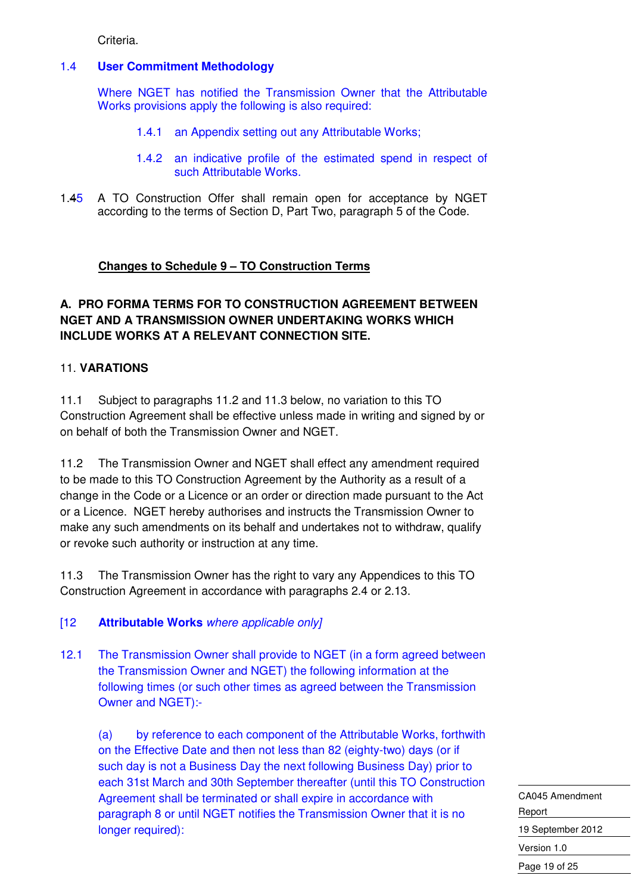Criteria.

#### 1.4 **User Commitment Methodology**

 Where NGET has notified the Transmission Owner that the Attributable Works provisions apply the following is also required:

- 1.4.1 an Appendix setting out any Attributable Works;
- 1.4.2 an indicative profile of the estimated spend in respect of such Attributable Works.
- 1.45 A TO Construction Offer shall remain open for acceptance by NGET according to the terms of Section D, Part Two, paragraph 5 of the Code.

#### **Changes to Schedule 9 – TO Construction Terms**

#### **A. PRO FORMA TERMS FOR TO CONSTRUCTION AGREEMENT BETWEEN NGET AND A TRANSMISSION OWNER UNDERTAKING WORKS WHICH INCLUDE WORKS AT A RELEVANT CONNECTION SITE.**

#### 11. **VARATIONS**

11.1 Subject to paragraphs 11.2 and 11.3 below, no variation to this TO Construction Agreement shall be effective unless made in writing and signed by or on behalf of both the Transmission Owner and NGET.

11.2 The Transmission Owner and NGET shall effect any amendment required to be made to this TO Construction Agreement by the Authority as a result of a change in the Code or a Licence or an order or direction made pursuant to the Act or a Licence. NGET hereby authorises and instructs the Transmission Owner to make any such amendments on its behalf and undertakes not to withdraw, qualify or revoke such authority or instruction at any time.

11.3 The Transmission Owner has the right to vary any Appendices to this TO Construction Agreement in accordance with paragraphs 2.4 or 2.13.

#### [12 **Attributable Works** where applicable only]

12.1 The Transmission Owner shall provide to NGET (in a form agreed between the Transmission Owner and NGET) the following information at the following times (or such other times as agreed between the Transmission Owner and NGET):-

(a) by reference to each component of the Attributable Works, forthwith on the Effective Date and then not less than 82 (eighty-two) days (or if such day is not a Business Day the next following Business Day) prior to each 31st March and 30th September thereafter (until this TO Construction Agreement shall be terminated or shall expire in accordance with paragraph 8 or until NGET notifies the Transmission Owner that it is no longer required):

CA045 Amendment Report 19 September 2012 Version 1.0 Page 19 of 25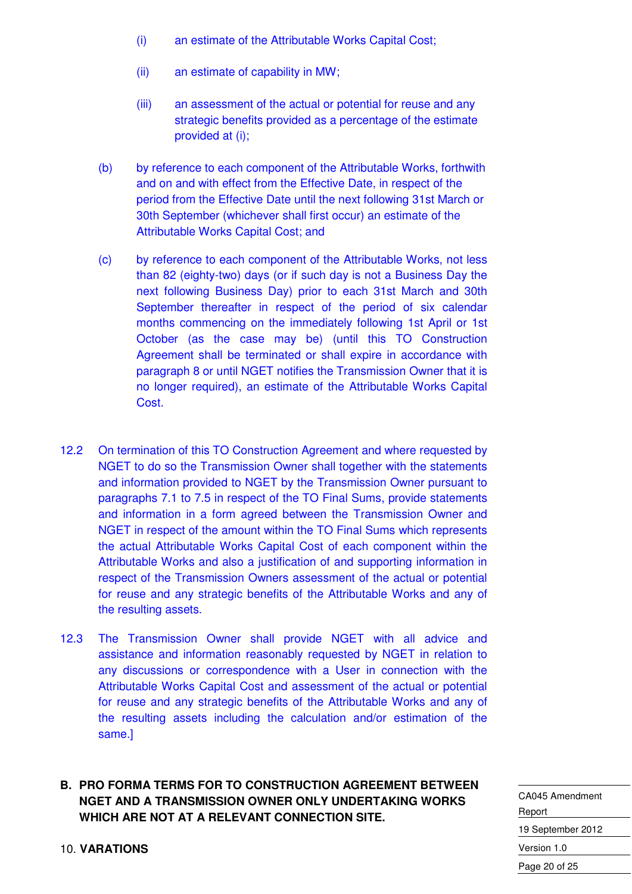- (i) an estimate of the Attributable Works Capital Cost;
- (ii) an estimate of capability in MW;
- (iii) an assessment of the actual or potential for reuse and any strategic benefits provided as a percentage of the estimate provided at (i);
- (b) by reference to each component of the Attributable Works, forthwith and on and with effect from the Effective Date, in respect of the period from the Effective Date until the next following 31st March or 30th September (whichever shall first occur) an estimate of the Attributable Works Capital Cost; and
- (c) by reference to each component of the Attributable Works, not less than 82 (eighty-two) days (or if such day is not a Business Day the next following Business Day) prior to each 31st March and 30th September thereafter in respect of the period of six calendar months commencing on the immediately following 1st April or 1st October (as the case may be) (until this TO Construction Agreement shall be terminated or shall expire in accordance with paragraph 8 or until NGET notifies the Transmission Owner that it is no longer required), an estimate of the Attributable Works Capital Cost.
- 12.2 On termination of this TO Construction Agreement and where requested by NGET to do so the Transmission Owner shall together with the statements and information provided to NGET by the Transmission Owner pursuant to paragraphs 7.1 to 7.5 in respect of the TO Final Sums, provide statements and information in a form agreed between the Transmission Owner and NGET in respect of the amount within the TO Final Sums which represents the actual Attributable Works Capital Cost of each component within the Attributable Works and also a justification of and supporting information in respect of the Transmission Owners assessment of the actual or potential for reuse and any strategic benefits of the Attributable Works and any of the resulting assets.
- 12.3 The Transmission Owner shall provide NGET with all advice and assistance and information reasonably requested by NGET in relation to any discussions or correspondence with a User in connection with the Attributable Works Capital Cost and assessment of the actual or potential for reuse and any strategic benefits of the Attributable Works and any of the resulting assets including the calculation and/or estimation of the same.]

#### **B. PRO FORMA TERMS FOR TO CONSTRUCTION AGREEMENT BETWEEN NGET AND A TRANSMISSION OWNER ONLY UNDERTAKING WORKS WHICH ARE NOT AT A RELEVANT CONNECTION SITE.**

CA045 Amendment Report 19 September 2012 Version 1.0 Page 20 of 25

10. **VARATIONS**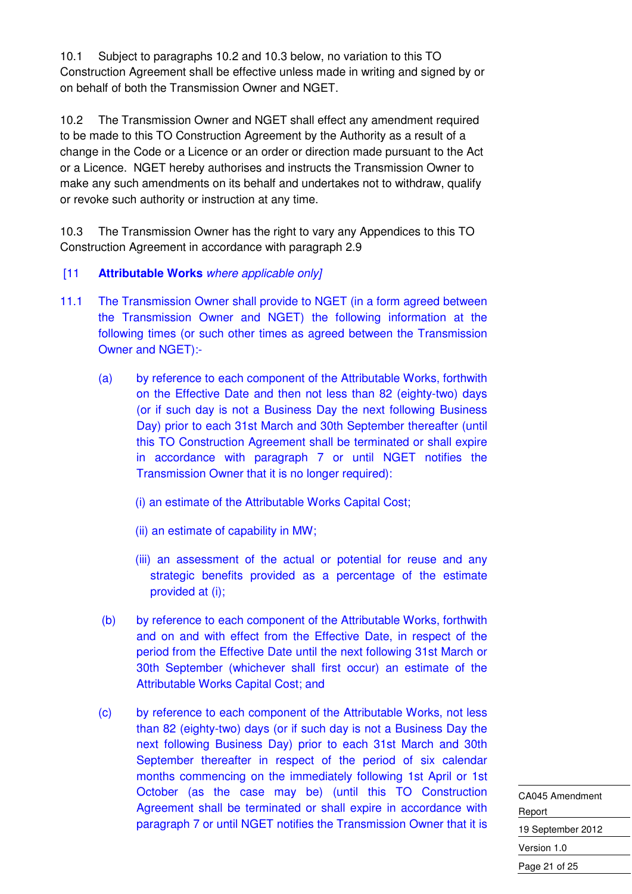10.1 Subject to paragraphs 10.2 and 10.3 below, no variation to this TO Construction Agreement shall be effective unless made in writing and signed by or on behalf of both the Transmission Owner and NGET.

10.2 The Transmission Owner and NGET shall effect any amendment required to be made to this TO Construction Agreement by the Authority as a result of a change in the Code or a Licence or an order or direction made pursuant to the Act or a Licence. NGET hereby authorises and instructs the Transmission Owner to make any such amendments on its behalf and undertakes not to withdraw, qualify or revoke such authority or instruction at any time.

10.3 The Transmission Owner has the right to vary any Appendices to this TO Construction Agreement in accordance with paragraph 2.9

#### [11 **Attributable Works** where applicable only]

- 11.1 The Transmission Owner shall provide to NGET (in a form agreed between the Transmission Owner and NGET) the following information at the following times (or such other times as agreed between the Transmission Owner and NGET):-
	- (a) by reference to each component of the Attributable Works, forthwith on the Effective Date and then not less than 82 (eighty-two) days (or if such day is not a Business Day the next following Business Day) prior to each 31st March and 30th September thereafter (until this TO Construction Agreement shall be terminated or shall expire in accordance with paragraph 7 or until NGET notifies the Transmission Owner that it is no longer required):
		- (i) an estimate of the Attributable Works Capital Cost;
		- (ii) an estimate of capability in MW;
		- (iii) an assessment of the actual or potential for reuse and any strategic benefits provided as a percentage of the estimate provided at (i);
	- (b) by reference to each component of the Attributable Works, forthwith and on and with effect from the Effective Date, in respect of the period from the Effective Date until the next following 31st March or 30th September (whichever shall first occur) an estimate of the Attributable Works Capital Cost; and
	- (c) by reference to each component of the Attributable Works, not less than 82 (eighty-two) days (or if such day is not a Business Day the next following Business Day) prior to each 31st March and 30th September thereafter in respect of the period of six calendar months commencing on the immediately following 1st April or 1st October (as the case may be) (until this TO Construction Agreement shall be terminated or shall expire in accordance with paragraph 7 or until NGET notifies the Transmission Owner that it is

CA045 Amendment Report 19 September 2012 Version 1.0 Page 21 of 25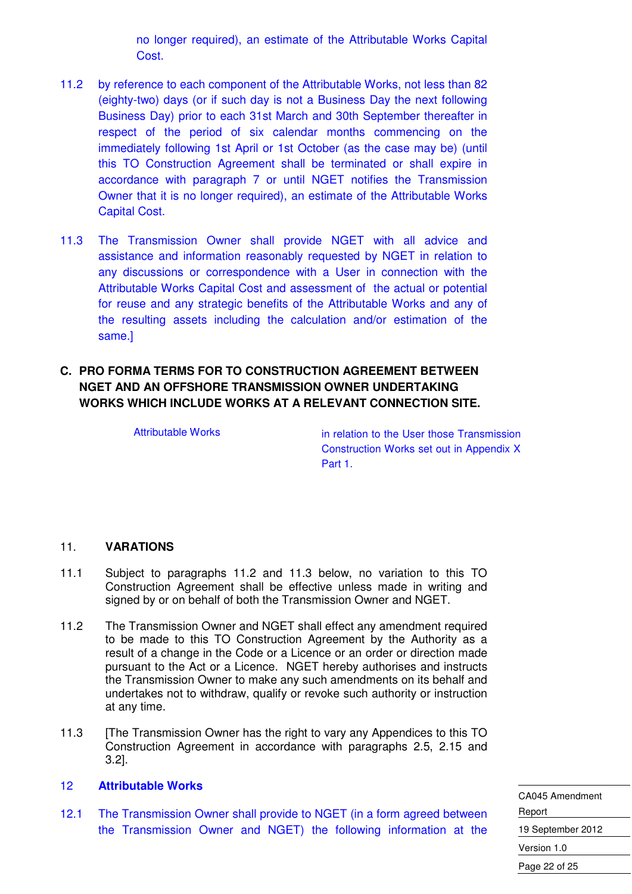no longer required), an estimate of the Attributable Works Capital Cost.

- 11.2 by reference to each component of the Attributable Works, not less than 82 (eighty-two) days (or if such day is not a Business Day the next following Business Day) prior to each 31st March and 30th September thereafter in respect of the period of six calendar months commencing on the immediately following 1st April or 1st October (as the case may be) (until this TO Construction Agreement shall be terminated or shall expire in accordance with paragraph 7 or until NGET notifies the Transmission Owner that it is no longer required), an estimate of the Attributable Works Capital Cost.
- 11.3 The Transmission Owner shall provide NGET with all advice and assistance and information reasonably requested by NGET in relation to any discussions or correspondence with a User in connection with the Attributable Works Capital Cost and assessment of the actual or potential for reuse and any strategic benefits of the Attributable Works and any of the resulting assets including the calculation and/or estimation of the same.]
- **C. PRO FORMA TERMS FOR TO CONSTRUCTION AGREEMENT BETWEEN NGET AND AN OFFSHORE TRANSMISSION OWNER UNDERTAKING WORKS WHICH INCLUDE WORKS AT A RELEVANT CONNECTION SITE.**

Attributable Works in relation to the User those Transmission Construction Works set out in Appendix X Part 1.

#### 11. **VARATIONS**

- 11.1 Subject to paragraphs 11.2 and 11.3 below, no variation to this TO Construction Agreement shall be effective unless made in writing and signed by or on behalf of both the Transmission Owner and NGET.
- 11.2 The Transmission Owner and NGET shall effect any amendment required to be made to this TO Construction Agreement by the Authority as a result of a change in the Code or a Licence or an order or direction made pursuant to the Act or a Licence. NGET hereby authorises and instructs the Transmission Owner to make any such amendments on its behalf and undertakes not to withdraw, qualify or revoke such authority or instruction at any time.
- 11.3 [The Transmission Owner has the right to vary any Appendices to this TO Construction Agreement in accordance with paragraphs 2.5, 2.15 and 3.2].

#### 12 **Attributable Works**

12.1 The Transmission Owner shall provide to NGET (in a form agreed between the Transmission Owner and NGET) the following information at the CA045 Amendment Report 19 September 2012 Version 1.0 Page 22 of 25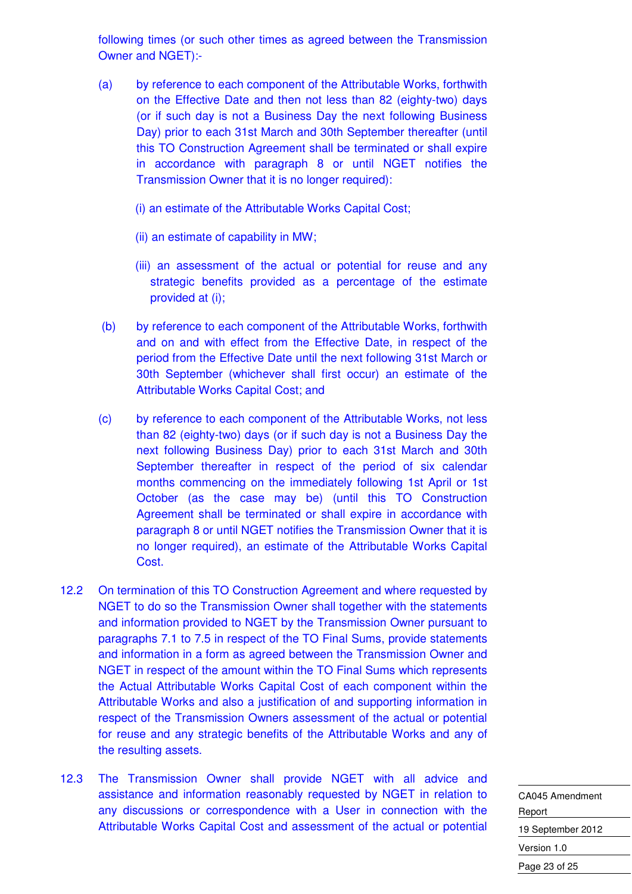following times (or such other times as agreed between the Transmission Owner and NGET):-

- (a) by reference to each component of the Attributable Works, forthwith on the Effective Date and then not less than 82 (eighty-two) days (or if such day is not a Business Day the next following Business Day) prior to each 31st March and 30th September thereafter (until this TO Construction Agreement shall be terminated or shall expire in accordance with paragraph 8 or until NGET notifies the Transmission Owner that it is no longer required):
	- (i) an estimate of the Attributable Works Capital Cost;
	- (ii) an estimate of capability in MW;
	- (iii) an assessment of the actual or potential for reuse and any strategic benefits provided as a percentage of the estimate provided at (i);
- (b) by reference to each component of the Attributable Works, forthwith and on and with effect from the Effective Date, in respect of the period from the Effective Date until the next following 31st March or 30th September (whichever shall first occur) an estimate of the Attributable Works Capital Cost; and
- (c) by reference to each component of the Attributable Works, not less than 82 (eighty-two) days (or if such day is not a Business Day the next following Business Day) prior to each 31st March and 30th September thereafter in respect of the period of six calendar months commencing on the immediately following 1st April or 1st October (as the case may be) (until this TO Construction Agreement shall be terminated or shall expire in accordance with paragraph 8 or until NGET notifies the Transmission Owner that it is no longer required), an estimate of the Attributable Works Capital Cost.
- 12.2 On termination of this TO Construction Agreement and where requested by NGET to do so the Transmission Owner shall together with the statements and information provided to NGET by the Transmission Owner pursuant to paragraphs 7.1 to 7.5 in respect of the TO Final Sums, provide statements and information in a form as agreed between the Transmission Owner and NGET in respect of the amount within the TO Final Sums which represents the Actual Attributable Works Capital Cost of each component within the Attributable Works and also a justification of and supporting information in respect of the Transmission Owners assessment of the actual or potential for reuse and any strategic benefits of the Attributable Works and any of the resulting assets.
- 12.3 The Transmission Owner shall provide NGET with all advice and assistance and information reasonably requested by NGET in relation to any discussions or correspondence with a User in connection with the Attributable Works Capital Cost and assessment of the actual or potential

| CA045 Amendment   |  |  |
|-------------------|--|--|
| Report            |  |  |
| 19 September 2012 |  |  |
| Version 1.0       |  |  |
| Page 23 of 25     |  |  |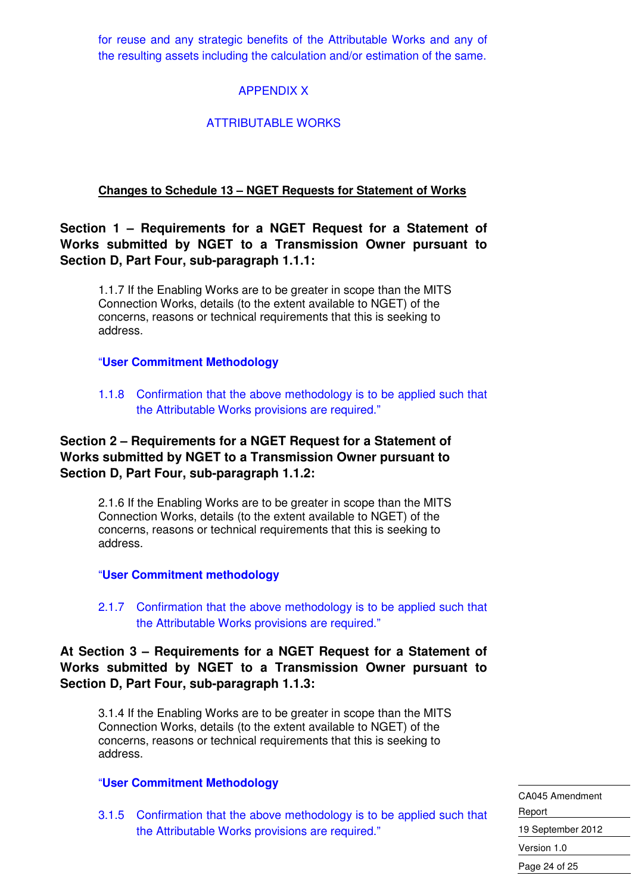for reuse and any strategic benefits of the Attributable Works and any of the resulting assets including the calculation and/or estimation of the same.

#### APPENDIX X

#### ATTRIBUTABLE WORKS

#### **Changes to Schedule 13 – NGET Requests for Statement of Works**

**Section 1 – Requirements for a NGET Request for a Statement of Works submitted by NGET to a Transmission Owner pursuant to Section D, Part Four, sub-paragraph 1.1.1:** 

1.1.7 If the Enabling Works are to be greater in scope than the MITS Connection Works, details (to the extent available to NGET) of the concerns, reasons or technical requirements that this is seeking to address.

#### "**User Commitment Methodology**

1.1.8 Confirmation that the above methodology is to be applied such that the Attributable Works provisions are required."

#### **Section 2 – Requirements for a NGET Request for a Statement of Works submitted by NGET to a Transmission Owner pursuant to Section D, Part Four, sub-paragraph 1.1.2:**

2.1.6 If the Enabling Works are to be greater in scope than the MITS Connection Works, details (to the extent available to NGET) of the concerns, reasons or technical requirements that this is seeking to address.

#### "**User Commitment methodology**

2.1.7 Confirmation that the above methodology is to be applied such that the Attributable Works provisions are required."

#### **At Section 3 – Requirements for a NGET Request for a Statement of Works submitted by NGET to a Transmission Owner pursuant to Section D, Part Four, sub-paragraph 1.1.3:**

3.1.4 If the Enabling Works are to be greater in scope than the MITS Connection Works, details (to the extent available to NGET) of the concerns, reasons or technical requirements that this is seeking to address.

#### "**User Commitment Methodology**

3.1.5 Confirmation that the above methodology is to be applied such that the Attributable Works provisions are required."

CA045 Amendment Report 19 September 2012 Version 1.0 Page 24 of 25